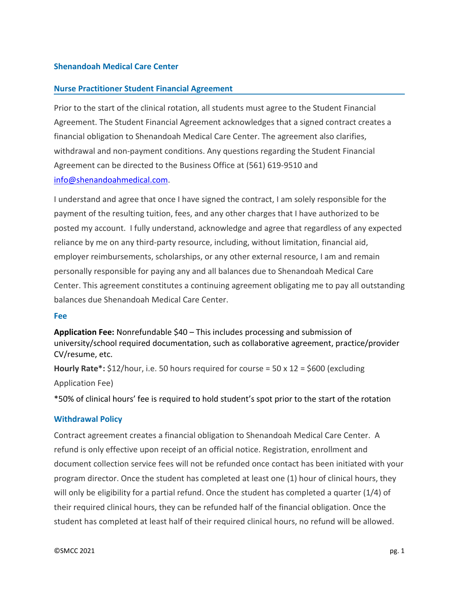# **Shenandoah Medical Care Center**

## **Nurse Practitioner Student Financial Agreement**

Prior to the start of the clinical rotation, all students must agree to the Student Financial Agreement. The Student Financial Agreement acknowledges that a signed contract creates a financial obligation to Shenandoah Medical Care Center. The agreement also clarifies, withdrawal and non-payment conditions. Any questions regarding the Student Financial Agreement can be directed to the Business Office at (561) 619-9510 and [info@shenandoahmedical.com.](mailto:info@shenandoahmedical.com)

I understand and agree that once I have signed the contract, I am solely responsible for the payment of the resulting tuition, fees, and any other charges that I have authorized to be posted my account. I fully understand, acknowledge and agree that regardless of any expected reliance by me on any third-party resource, including, without limitation, financial aid, employer reimbursements, scholarships, or any other external resource, I am and remain personally responsible for paying any and all balances due to Shenandoah Medical Care Center. This agreement constitutes a continuing agreement obligating me to pay all outstanding balances due Shenandoah Medical Care Center.

#### **Fee**

**Application Fee:** Nonrefundable \$40 – This includes processing and submission of university/school required documentation, such as collaborative agreement, practice/provider CV/resume, etc.

**Hourly Rate\*:** \$12/hour, i.e. 50 hours required for course = 50 x 12 = \$600 (excluding Application Fee)

\*50% of clinical hours' fee is required to hold student's spot prior to the start of the rotation

#### **Withdrawal Policy**

Contract agreement creates a financial obligation to Shenandoah Medical Care Center. A refund is only effective upon receipt of an official notice. Registration, enrollment and document collection service fees will not be refunded once contact has been initiated with your program director. Once the student has completed at least one (1) hour of clinical hours, they will only be eligibility for a partial refund. Once the student has completed a quarter (1/4) of their required clinical hours, they can be refunded half of the financial obligation. Once the student has completed at least half of their required clinical hours, no refund will be allowed.